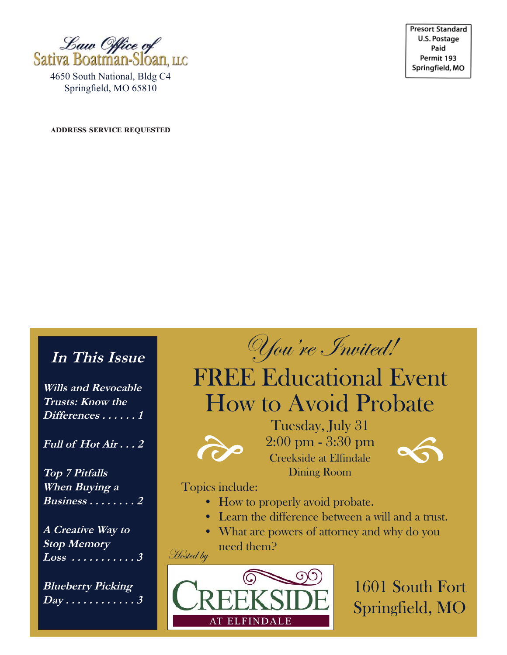

4650 South National, Bldg C4 Springfield, MO 65810

**ADDRESS SERVICE REQUESTED** 

**Presort Standard** U.S. Postage Paid Permit 193 Springfield, MO

## **In This Issue**

**Wills and Revocable Trusts: Know the Differences . . . . . . 1**

**Full of Hot Air . . . 2**

**Top 7 Pitfalls When Buying a Business . . . . . . . . 2**

**A Creative Way to Stop Memory Loss . . . . . . . . . . . 3**

**Blueberry Picking Day . . . . . . . . . . . . 3**

You're Invited!

# FREE Educational Event How to Avoid Probate



Tuesday, July 31 2:00 pm - 3:30 pm Tuesday, July 31<br>
2:00 pm - 3:30 pm<br>
Creekside at Elfindale Dining Room



Topics include:

**Hosted by** 

- How to properly avoid probate.
- Learn the difference between a will and a trust.
- What are powers of attorney and why do you need them?



1601 South Fort Springfield, MO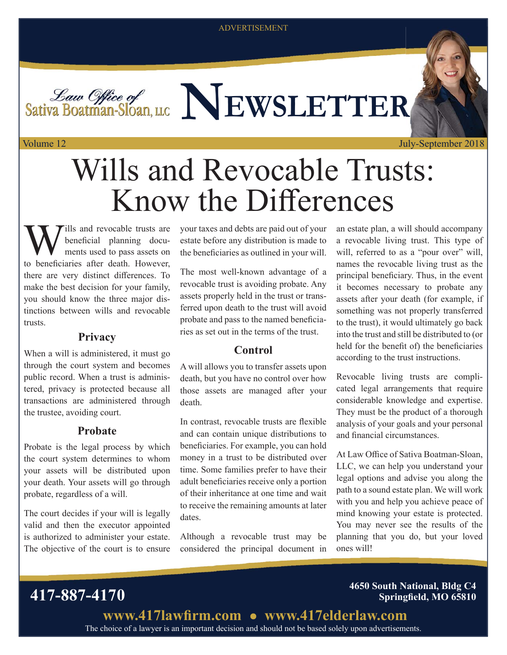ADVERTISEMENT

*Law Office of* Sativa Boatman-Sloan, LLC NEWSLETTER

Volume 12

July-September 2018

# Wills and Revocable Trusts: Know the Differences

Wills and revocable trusts are<br>beneficial planning docu-<br>the handfaining often doth However beneficial planning documents used to pass assets on to beneficiaries after death. However, there are very distinct differences. To make the best decision for your family, you should know the three major distinctions between wills and revocable trusts.

#### **Privacy**

When a will is administered, it must go through the court system and becomes public record. When a trust is administered, privacy is protected because all transactions are administered through the trustee, avoiding court.

#### **Probate**

Probate is the legal process by which the court system determines to whom your assets will be distributed upon your death. Your assets will go through probate, regardless of a will.

The court decides if your will is legally valid and then the executor appointed is authorized to administer your estate. The objective of the court is to ensure your taxes and debts are paid out of your estate before any distribution is made to the beneficiaries as outlined in your will.

The most well-known advantage of a revocable trust is avoiding probate. Any assets properly held in the trust or transferred upon death to the trust will avoid probate and pass to the named beneficiaries as set out in the terms of the trust.

### **Control**

A will allows you to transfer assets upon death, but you have no control over how those assets are managed after your death.

In contrast, revocable trusts are flexible and can contain unique distributions to beneficiaries. For example, you can hold money in a trust to be distributed over time. Some families prefer to have their adult beneficiaries receive only a portion of their inheritance at one time and wait to receive the remaining amounts at later dates.

Although a revocable trust may be considered the principal document in an estate plan, a will should accompany a revocable living trust. This type of will, referred to as a "pour over" will, names the revocable living trust as the principal beneficiary. Thus, in the event it becomes necessary to probate any assets after your death (for example, if something was not properly transferred to the trust), it would ultimately go back into the trust and still be distributed to (or held for the benefit of) the beneficiaries according to the trust instructions.

Revocable living trusts are complicated legal arrangements that require considerable knowledge and expertise. They must be the product of a thorough analysis of your goals and your personal and financial circumstances.

At Law Office of Sativa Boatman-Sloan, LLC, we can help you understand your legal options and advise you along the path to a sound estate plan. We will work with you and help you achieve peace of mind knowing your estate is protected. You may never see the results of the planning that you do, but your loved ones will!

**417-887-4170 4650 South National, Bldg C4 Springfield, MO 65810** 

> The choice of a lawyer is an important decision and should not be based solely upon advertisements. www.417lawfirm.com • www.417elderlaw.com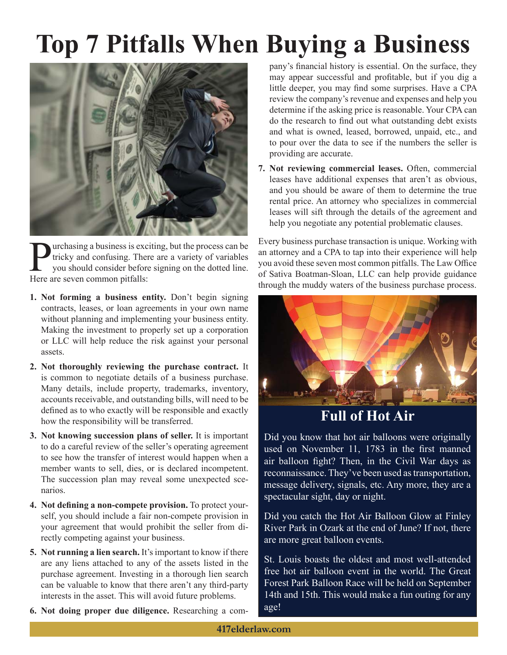# **Top 7 Pitfalls When Buying a Business**



**Purchasing a business is exciting, but the process can be tricky and confusing. There are a variety of variables you should consider before signing on the dotted line.** tricky and confusing. There are a variety of variables you should consider before signing on the dotted line. Here are seven common pitfalls:

- **1. Not forming a business entity.** Don't begin signing contracts, leases, or loan agreements in your own name without planning and implementing your business entity. Making the investment to properly set up a corporation or LLC will help reduce the risk against your personal assets.
- **2. Not thoroughly reviewing the purchase contract.** It is common to negotiate details of a business purchase. Many details, include property, trademarks, inventory, accounts receivable, and outstanding bills, will need to be defined as to who exactly will be responsible and exactly how the responsibility will be transferred.
- **3. Not knowing succession plans of seller.** It is important to do a careful review of the seller's operating agreement to see how the transfer of interest would happen when a member wants to sell, dies, or is declared incompetent. The succession plan may reveal some unexpected scenarios.
- **4. Not defining a non-compete provision.** To protect yourself, you should include a fair non-compete provision in your agreement that would prohibit the seller from directly competing against your business.
- **5. Not running a lien search.** It's important to know if there are any liens attached to any of the assets listed in the purchase agreement. Investing in a thorough lien search can be valuable to know that there aren't any third-party interests in the asset. This will avoid future problems.
- **6. Not doing proper due diligence.** Researching a com-

pany's financial history is essential. On the surface, they may appear successful and profitable, but if you dig a little deeper, you may find some surprises. Have a CPA review the company's revenue and expenses and help you determine if the asking price is reasonable. Your CPA can do the research to find out what outstanding debt exists and what is owned, leased, borrowed, unpaid, etc., and to pour over the data to see if the numbers the seller is providing are accurate.

**7. Not reviewing commercial leases.** Often, commercial leases have additional expenses that aren't as obvious, and you should be aware of them to determine the true rental price. An attorney who specializes in commercial leases will sift through the details of the agreement and help you negotiate any potential problematic clauses.

Every business purchase transaction is unique. Working with an attorney and a CPA to tap into their experience will help you avoid these seven most common pitfalls. The Law Office of Sativa Boatman-Sloan, LLC can help provide guidance through the muddy waters of the business purchase process.



## **Full of Hot Air**

Did you know that hot air balloons were originally used on November 11, 1783 in the first manned air balloon fight? Then, in the Civil War days as reconnaissance. They've been used as transportation, message delivery, signals, etc. Any more, they are a spectacular sight, day or night.

Did you catch the Hot Air Balloon Glow at Finley River Park in Ozark at the end of June? If not, there are more great balloon events.

St. Louis boasts the oldest and most well-attended free hot air balloon event in the world. The Great Forest Park Balloon Race will be held on September 14th and 15th. This would make a fun outing for any age!